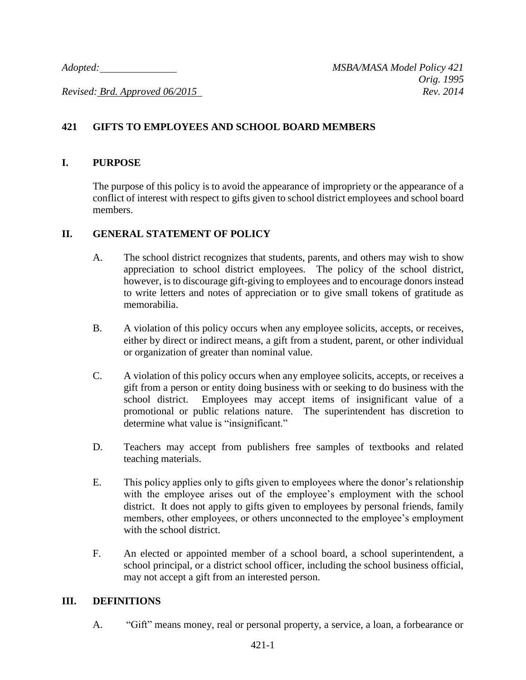*Revised: Brd. Approved 06/2015 Rev. 2014*

# **421 GIFTS TO EMPLOYEES AND SCHOOL BOARD MEMBERS**

## **I. PURPOSE**

The purpose of this policy is to avoid the appearance of impropriety or the appearance of a conflict of interest with respect to gifts given to school district employees and school board members.

### **II. GENERAL STATEMENT OF POLICY**

- A. The school district recognizes that students, parents, and others may wish to show appreciation to school district employees. The policy of the school district, however, is to discourage gift-giving to employees and to encourage donors instead to write letters and notes of appreciation or to give small tokens of gratitude as memorabilia.
- B. A violation of this policy occurs when any employee solicits, accepts, or receives, either by direct or indirect means, a gift from a student, parent, or other individual or organization of greater than nominal value.
- C. A violation of this policy occurs when any employee solicits, accepts, or receives a gift from a person or entity doing business with or seeking to do business with the school district. Employees may accept items of insignificant value of a promotional or public relations nature. The superintendent has discretion to determine what value is "insignificant."
- D. Teachers may accept from publishers free samples of textbooks and related teaching materials.
- E. This policy applies only to gifts given to employees where the donor's relationship with the employee arises out of the employee's employment with the school district. It does not apply to gifts given to employees by personal friends, family members, other employees, or others unconnected to the employee's employment with the school district.
- F. An elected or appointed member of a school board, a school superintendent, a school principal, or a district school officer, including the school business official, may not accept a gift from an interested person.

#### **III. DEFINITIONS**

A. "Gift" means money, real or personal property, a service, a loan, a forbearance or